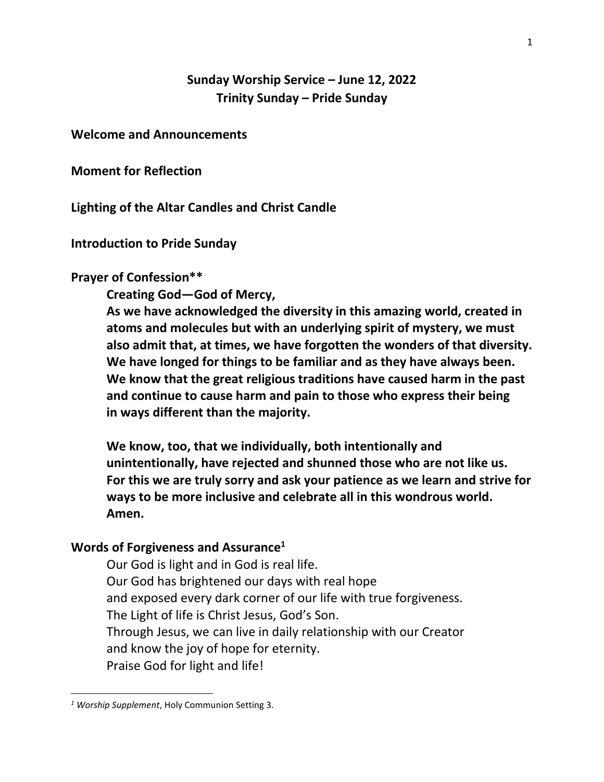# **Sunday Worship Service – June 12, 2022 Trinity Sunday – Pride Sunday**

#### **Welcome and Announcements**

**Moment for Reflection**

**Lighting of the Altar Candles and Christ Candle**

#### **Introduction to Pride Sunday**

#### **Prayer of Confession\*\***

**Creating God—God of Mercy,**

**As we have acknowledged the diversity in this amazing world, created in atoms and molecules but with an underlying spirit of mystery, we must also admit that, at times, we have forgotten the wonders of that diversity. We have longed for things to be familiar and as they have always been. We know that the great religious traditions have caused harm in the past and continue to cause harm and pain to those who express their being in ways different than the majority.** 

**We know, too, that we individually, both intentionally and unintentionally, have rejected and shunned those who are not like us. For this we are truly sorry and ask your patience as we learn and strive for ways to be more inclusive and celebrate all in this wondrous world. Amen.** 

#### **Words of Forgiveness and Assurance<sup>1</sup>**

Our God is light and in God is real life. Our God has brightened our days with real hope and exposed every dark corner of our life with true forgiveness. The Light of life is Christ Jesus, God's Son. Through Jesus, we can live in daily relationship with our Creator and know the joy of hope for eternity. Praise God for light and life!

*<sup>1</sup> Worship Supplement*, Holy Communion Setting 3.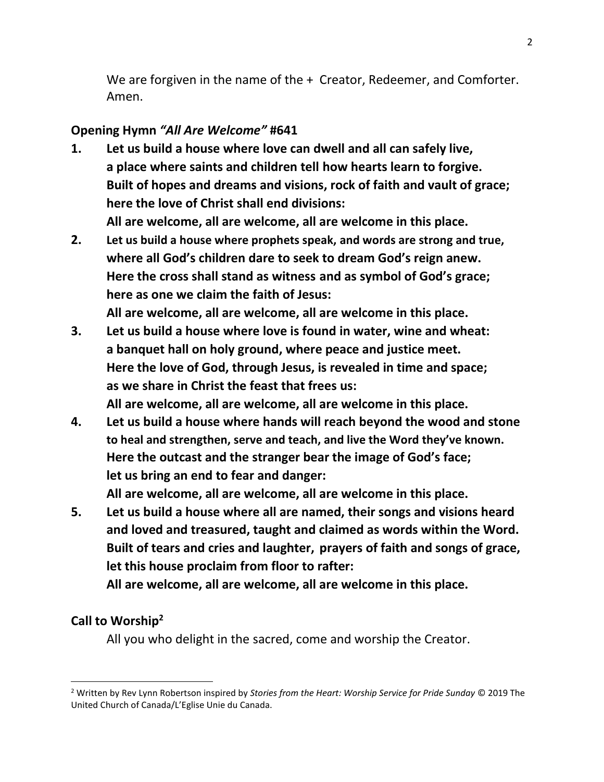We are forgiven in the name of the + Creator, Redeemer, and Comforter. Amen.

# **Opening Hymn** *"All Are Welcome"* **#641**

- **1. Let us build a house where love can dwell and all can safely live, a place where saints and children tell how hearts learn to forgive. Built of hopes and dreams and visions, rock of faith and vault of grace; here the love of Christ shall end divisions: All are welcome, all are welcome, all are welcome in this place.**
- **2. Let us build a house where prophets speak, and words are strong and true, where all God's children dare to seek to dream God's reign anew. Here the cross shall stand as witness and as symbol of God's grace; here as one we claim the faith of Jesus: All are welcome, all are welcome, all are welcome in this place.**
- **3. Let us build a house where love is found in water, wine and wheat: a banquet hall on holy ground, where peace and justice meet. Here the love of God, through Jesus, is revealed in time and space; as we share in Christ the feast that frees us: All are welcome, all are welcome, all are welcome in this place.**
- **4. Let us build a house where hands will reach beyond the wood and stone to heal and strengthen, serve and teach, and live the Word they've known. Here the outcast and the stranger bear the image of God's face; let us bring an end to fear and danger: All are welcome, all are welcome, all are welcome in this place.**
- **5. Let us build a house where all are named, their songs and visions heard and loved and treasured, taught and claimed as words within the Word. Built of tears and cries and laughter, prayers of faith and songs of grace, let this house proclaim from floor to rafter:**

**All are welcome, all are welcome, all are welcome in this place.**

# **Call to Worship<sup>2</sup>**

All you who delight in the sacred, come and worship the Creator.

<sup>2</sup> Written by Rev Lynn Robertson inspired by *Stories from the Heart: Worship Service for Pride Sunday* © 2019 The United Church of Canada/L'Eglise Unie du Canada.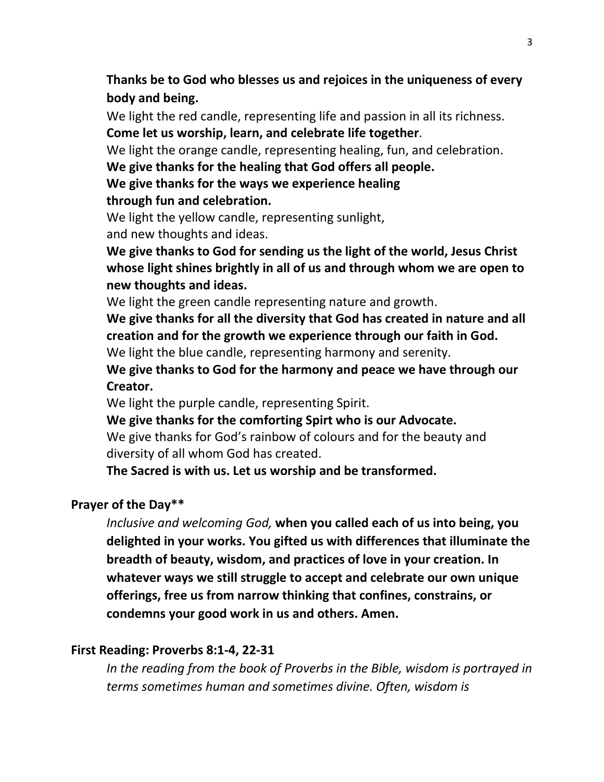# **Thanks be to God who blesses us and rejoices in the uniqueness of every body and being.**

We light the red candle, representing life and passion in all its richness. **Come let us worship, learn, and celebrate life together**.

We light the orange candle, representing healing, fun, and celebration.

**We give thanks for the healing that God offers all people.**

**We give thanks for the ways we experience healing** 

# **through fun and celebration.**

We light the yellow candle, representing sunlight, and new thoughts and ideas.

**We give thanks to God for sending us the light of the world, Jesus Christ whose light shines brightly in all of us and through whom we are open to new thoughts and ideas.**

We light the green candle representing nature and growth.

**We give thanks for all the diversity that God has created in nature and all creation and for the growth we experience through our faith in God.**

We light the blue candle, representing harmony and serenity.

**We give thanks to God for the harmony and peace we have through our Creator.**

We light the purple candle, representing Spirit.

**We give thanks for the comforting Spirt who is our Advocate.**

We give thanks for God's rainbow of colours and for the beauty and diversity of all whom God has created.

**The Sacred is with us. Let us worship and be transformed.**

# **Prayer of the Day\*\***

*Inclusive and welcoming God,* **when you called each of us into being, you delighted in your works. You gifted us with differences that illuminate the breadth of beauty, wisdom, and practices of love in your creation. In whatever ways we still struggle to accept and celebrate our own unique offerings, free us from narrow thinking that confines, constrains, or condemns your good work in us and others. Amen.**

# **First Reading: Proverbs 8:1-4, 22-31**

*In the reading from the book of Proverbs in the Bible, wisdom is portrayed in terms sometimes human and sometimes divine. Often, wisdom is*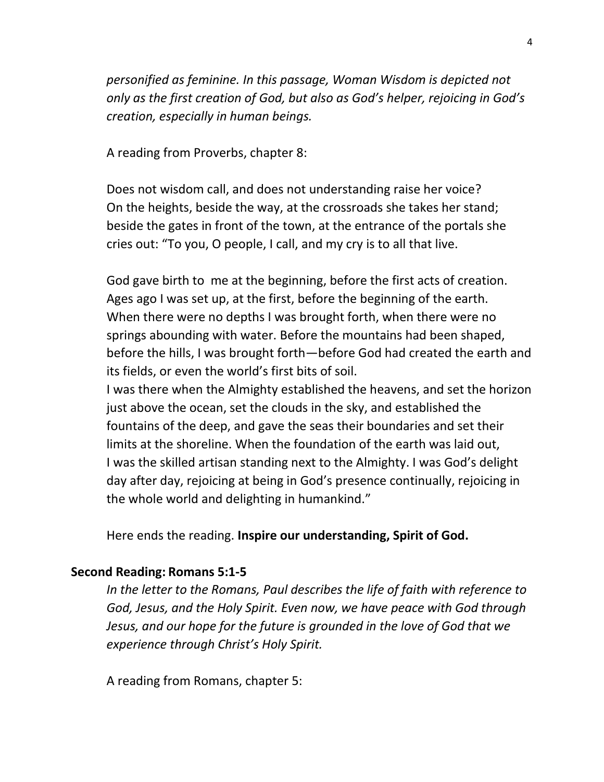*personified as feminine. In this passage, Woman Wisdom is depicted not only as the first creation of God, but also as God's helper, rejoicing in God's creation, especially in human beings.*

A reading from Proverbs, chapter 8:

Does not wisdom call, and does not understanding raise her voice? On the heights, beside the way, at the crossroads she takes her stand; beside the gates in front of the town, at the entrance of the portals she cries out: "To you, O people, I call, and my cry is to all that live.

God gave birth to me at the beginning, before the first acts of creation. Ages ago I was set up, at the first, before the beginning of the earth. When there were no depths I was brought forth, when there were no springs abounding with water. Before the mountains had been shaped, before the hills, I was brought forth—before God had created the earth and its fields, or even the world's first bits of soil.

I was there when the Almighty established the heavens, and set the horizon just above the ocean, set the clouds in the sky, and established the fountains of the deep, and gave the seas their boundaries and set their limits at the shoreline. When the foundation of the earth was laid out, I was the skilled artisan standing next to the Almighty. I was God's delight day after day, rejoicing at being in God's presence continually, rejoicing in the whole world and delighting in humankind."

Here ends the reading. **Inspire our understanding, Spirit of God.**

#### **Second Reading: Romans 5:1-5**

*In the letter to the Romans, Paul describes the life of faith with reference to God, Jesus, and the Holy Spirit. Even now, we have peace with God through Jesus, and our hope for the future is grounded in the love of God that we experience through Christ's Holy Spirit.*

A reading from Romans, chapter 5: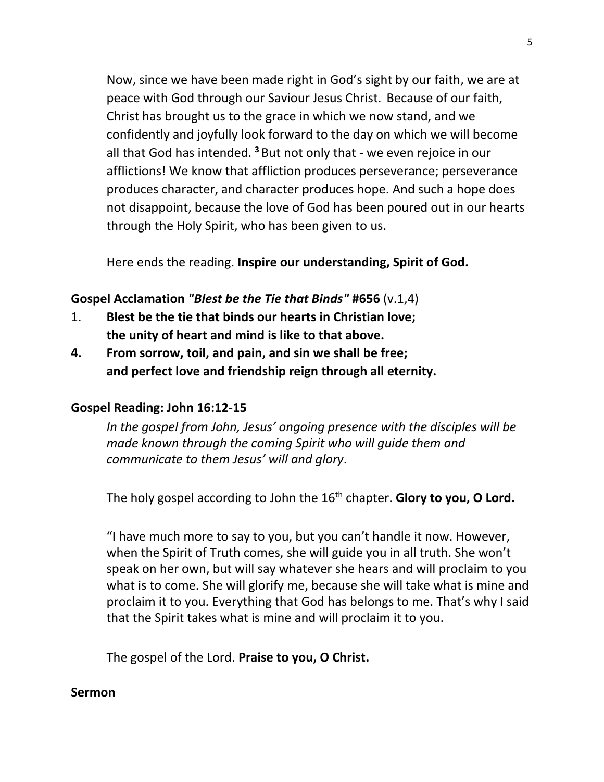Now, since we have been made right in God's sight by our faith, we are at peace with God through our Saviour Jesus Christ. Because of our faith, Christ has brought us to the grace in which we now stand, and we confidently and joyfully look forward to the day on which we will become all that God has intended. **<sup>3</sup>** But not only that - we even rejoice in our afflictions! We know that affliction produces perseverance; perseverance produces character, and character produces hope. And such a hope does not disappoint, because the love of God has been poured out in our hearts through the Holy Spirit, who has been given to us.

Here ends the reading. **Inspire our understanding, Spirit of God.**

## **Gospel Acclamation** *"Blest be the Tie that Binds"* **#656** (v.1,4)

- 1. **Blest be the tie that binds our hearts in Christian love; the unity of heart and mind is like to that above.**
- **4. From sorrow, toil, and pain, and sin we shall be free; and perfect love and friendship reign through all eternity.**

### **Gospel Reading: John 16:12-15**

*In the gospel from John, Jesus' ongoing presence with the disciples will be made known through the coming Spirit who will guide them and communicate to them Jesus' will and glory*.

The holy gospel according to John the 16<sup>th</sup> chapter. Glory to you, O Lord.

"I have much more to say to you, but you can't handle it now. However, when the Spirit of Truth comes, she will guide you in all truth. She won't speak on her own, but will say whatever she hears and will proclaim to you what is to come. She will glorify me, because she will take what is mine and proclaim it to you. Everything that God has belongs to me. That's why I said that the Spirit takes what is mine and will proclaim it to you.

The gospel of the Lord. **Praise to you, O Christ.**

#### **Sermon**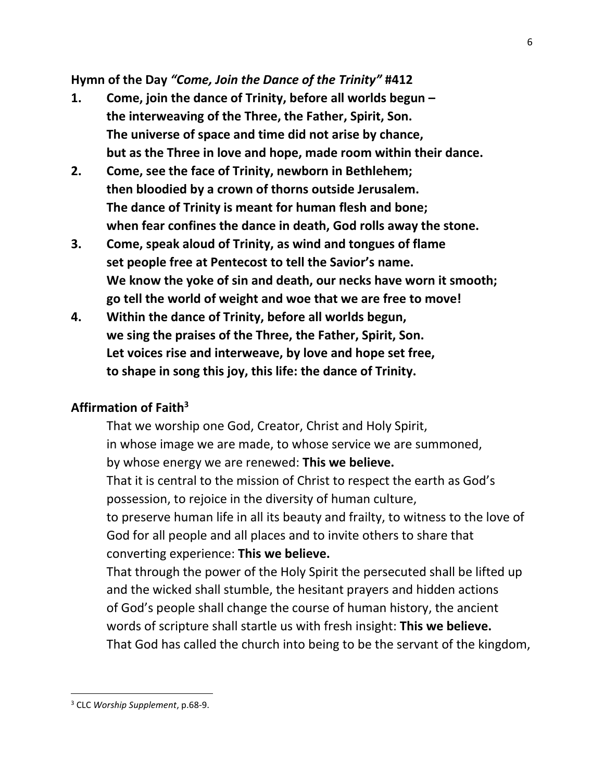**Hymn of the Day** *"Come, Join the Dance of the Trinity"* **#412**

- **1. Come, join the dance of Trinity, before all worlds begun – the interweaving of the Three, the Father, Spirit, Son. The universe of space and time did not arise by chance, but as the Three in love and hope, made room within their dance.**
- **2. Come, see the face of Trinity, newborn in Bethlehem; then bloodied by a crown of thorns outside Jerusalem. The dance of Trinity is meant for human flesh and bone; when fear confines the dance in death, God rolls away the stone.**
- **3. Come, speak aloud of Trinity, as wind and tongues of flame set people free at Pentecost to tell the Savior's name. We know the yoke of sin and death, our necks have worn it smooth; go tell the world of weight and woe that we are free to move!**
- **4. Within the dance of Trinity, before all worlds begun, we sing the praises of the Three, the Father, Spirit, Son. Let voices rise and interweave, by love and hope set free, to shape in song this joy, this life: the dance of Trinity.**

## **Affirmation of Faith<sup>3</sup>**

That we worship one God, Creator, Christ and Holy Spirit, in whose image we are made, to whose service we are summoned, by whose energy we are renewed: **This we believe.** That it is central to the mission of Christ to respect the earth as God's possession, to rejoice in the diversity of human culture, to preserve human life in all its beauty and frailty, to witness to the love of God for all people and all places and to invite others to share that converting experience: **This we believe.** That through the power of the Holy Spirit the persecuted shall be lifted up and the wicked shall stumble, the hesitant prayers and hidden actions of God's people shall change the course of human history, the ancient

words of scripture shall startle us with fresh insight: **This we believe.**

That God has called the church into being to be the servant of the kingdom,

<sup>3</sup> CLC *Worship Supplement*, p.68-9.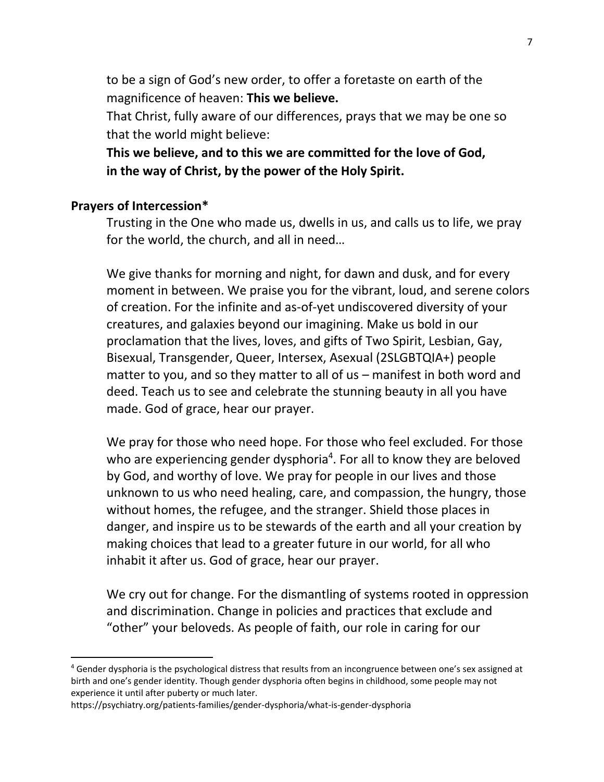to be a sign of God's new order, to offer a foretaste on earth of the magnificence of heaven: **This we believe.**

That Christ, fully aware of our differences, prays that we may be one so that the world might believe:

**This we believe, and to this we are committed for the love of God, in the way of Christ, by the power of the Holy Spirit.**

## **Prayers of Intercession\***

Trusting in the One who made us, dwells in us, and calls us to life, we pray for the world, the church, and all in need…

We give thanks for morning and night, for dawn and dusk, and for every moment in between. We praise you for the vibrant, loud, and serene colors of creation. For the infinite and as-of-yet undiscovered diversity of your creatures, and galaxies beyond our imagining. Make us bold in our proclamation that the lives, loves, and gifts of Two Spirit, Lesbian, Gay, Bisexual, Transgender, Queer, Intersex, Asexual (2SLGBTQIA+) people matter to you, and so they matter to all of us – manifest in both word and deed. Teach us to see and celebrate the stunning beauty in all you have made. God of grace, hear our prayer.

We pray for those who need hope. For those who feel excluded. For those who are experiencing gender dysphoria<sup>4</sup>. For all to know they are beloved by God, and worthy of love. We pray for people in our lives and those unknown to us who need healing, care, and compassion, the hungry, those without homes, the refugee, and the stranger. Shield those places in danger, and inspire us to be stewards of the earth and all your creation by making choices that lead to a greater future in our world, for all who inhabit it after us. God of grace, hear our prayer.

We cry out for change. For the dismantling of systems rooted in oppression and discrimination. Change in policies and practices that exclude and "other" your beloveds. As people of faith, our role in caring for our

<sup>&</sup>lt;sup>4</sup> Gender dysphoria is the psychological distress that results from an incongruence between one's sex assigned at birth and one's gender identity. Though gender dysphoria often begins in childhood, some people may not experience it until after puberty or much later.

https://psychiatry.org/patients-families/gender-dysphoria/what-is-gender-dysphoria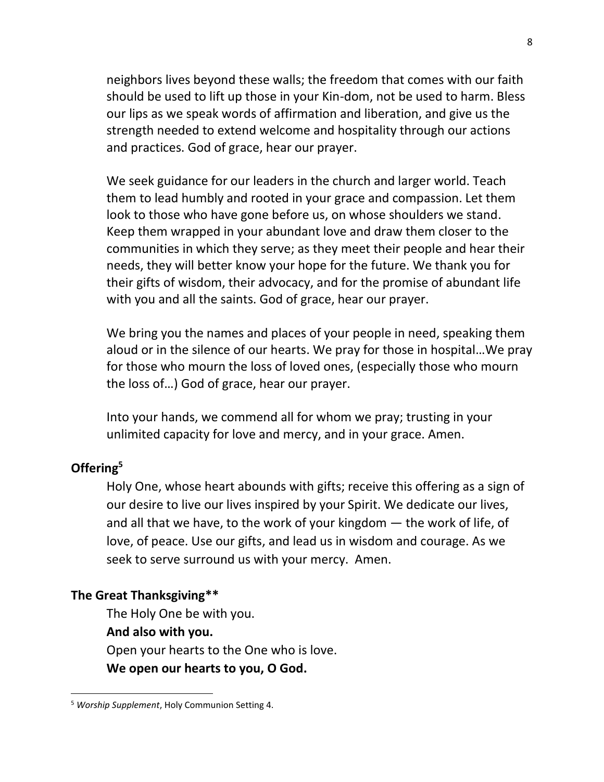neighbors lives beyond these walls; the freedom that comes with our faith should be used to lift up those in your Kin-dom, not be used to harm. Bless our lips as we speak words of affirmation and liberation, and give us the strength needed to extend welcome and hospitality through our actions and practices. God of grace, hear our prayer.

We seek guidance for our leaders in the church and larger world. Teach them to lead humbly and rooted in your grace and compassion. Let them look to those who have gone before us, on whose shoulders we stand. Keep them wrapped in your abundant love and draw them closer to the communities in which they serve; as they meet their people and hear their needs, they will better know your hope for the future. We thank you for their gifts of wisdom, their advocacy, and for the promise of abundant life with you and all the saints. God of grace, hear our prayer.

We bring you the names and places of your people in need, speaking them aloud or in the silence of our hearts. We pray for those in hospital…We pray for those who mourn the loss of loved ones, (especially those who mourn the loss of…) God of grace, hear our prayer.

Into your hands, we commend all for whom we pray; trusting in your unlimited capacity for love and mercy, and in your grace. Amen.

## **Offering<sup>5</sup>**

Holy One, whose heart abounds with gifts; receive this offering as a sign of our desire to live our lives inspired by your Spirit. We dedicate our lives, and all that we have, to the work of your kingdom — the work of life, of love, of peace. Use our gifts, and lead us in wisdom and courage. As we seek to serve surround us with your mercy. Amen.

#### **The Great Thanksgiving\*\***

The Holy One be with you. **And also with you.** Open your hearts to the One who is love. **We open our hearts to you, O God.**

<sup>5</sup> *Worship Supplement*, Holy Communion Setting 4.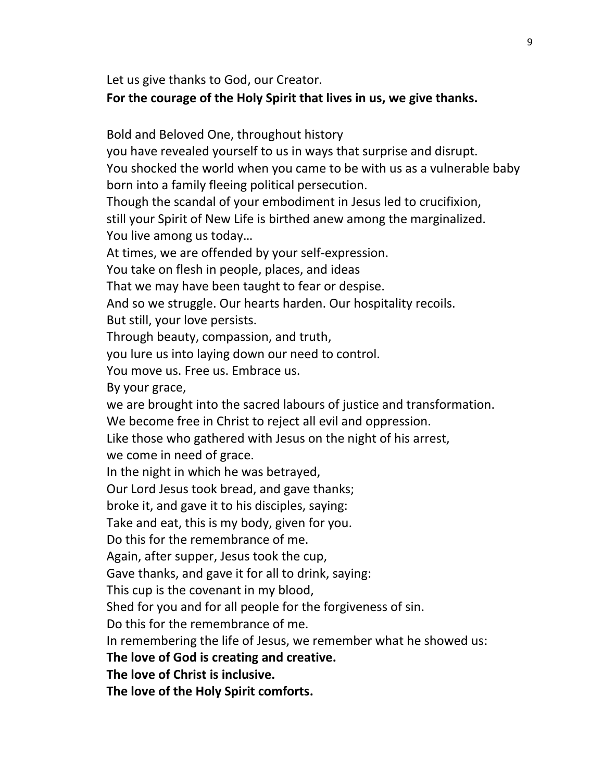Let us give thanks to God, our Creator.

**For the courage of the Holy Spirit that lives in us, we give thanks.**

Bold and Beloved One, throughout history you have revealed yourself to us in ways that surprise and disrupt. You shocked the world when you came to be with us as a vulnerable baby born into a family fleeing political persecution. Though the scandal of your embodiment in Jesus led to crucifixion, still your Spirit of New Life is birthed anew among the marginalized. You live among us today… At times, we are offended by your self-expression. You take on flesh in people, places, and ideas That we may have been taught to fear or despise. And so we struggle. Our hearts harden. Our hospitality recoils. But still, your love persists. Through beauty, compassion, and truth, you lure us into laying down our need to control. You move us. Free us. Embrace us. By your grace, we are brought into the sacred labours of justice and transformation. We become free in Christ to reject all evil and oppression. Like those who gathered with Jesus on the night of his arrest, we come in need of grace. In the night in which he was betrayed, Our Lord Jesus took bread, and gave thanks; broke it, and gave it to his disciples, saying: Take and eat, this is my body, given for you. Do this for the remembrance of me. Again, after supper, Jesus took the cup, Gave thanks, and gave it for all to drink, saying: This cup is the covenant in my blood, Shed for you and for all people for the forgiveness of sin. Do this for the remembrance of me. In remembering the life of Jesus, we remember what he showed us: **The love of God is creating and creative.**

**The love of Christ is inclusive.**

**The love of the Holy Spirit comforts.**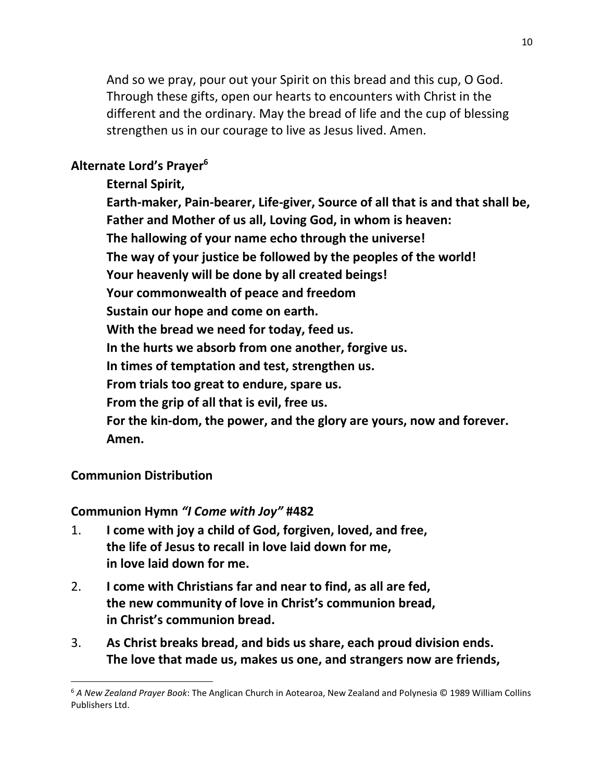And so we pray, pour out your Spirit on this bread and this cup, O God. Through these gifts, open our hearts to encounters with Christ in the different and the ordinary. May the bread of life and the cup of blessing strengthen us in our courage to live as Jesus lived. Amen.

## **Alternate Lord's Prayer<sup>6</sup>**

**Eternal Spirit,**

**Earth-maker, Pain-bearer, Life-giver, Source of all that is and that shall be, Father and Mother of us all, Loving God, in whom is heaven: The hallowing of your name echo through the universe! The way of your justice be followed by the peoples of the world! Your heavenly will be done by all created beings! Your commonwealth of peace and freedom Sustain our hope and come on earth. With the bread we need for today, feed us. In the hurts we absorb from one another, forgive us. In times of temptation and test, strengthen us. From trials too great to endure, spare us. From the grip of all that is evil, free us. For the kin-dom, the power, and the glory are yours, now and forever. Amen.**

## **Communion Distribution**

### **Communion Hymn** *"I Come with Joy"* **#482**

- 1. **I come with joy a child of God, forgiven, loved, and free, the life of Jesus to recall in love laid down for me, in love laid down for me.**
- 2. **I come with Christians far and near to find, as all are fed, the new community of love in Christ's communion bread, in Christ's communion bread.**
- 3. **As Christ breaks bread, and bids us share, each proud division ends. The love that made us, makes us one, and strangers now are friends,**

<sup>6</sup> *A New Zealand Prayer Book*: The Anglican Church in Aotearoa, New Zealand and Polynesia © 1989 William Collins Publishers Ltd.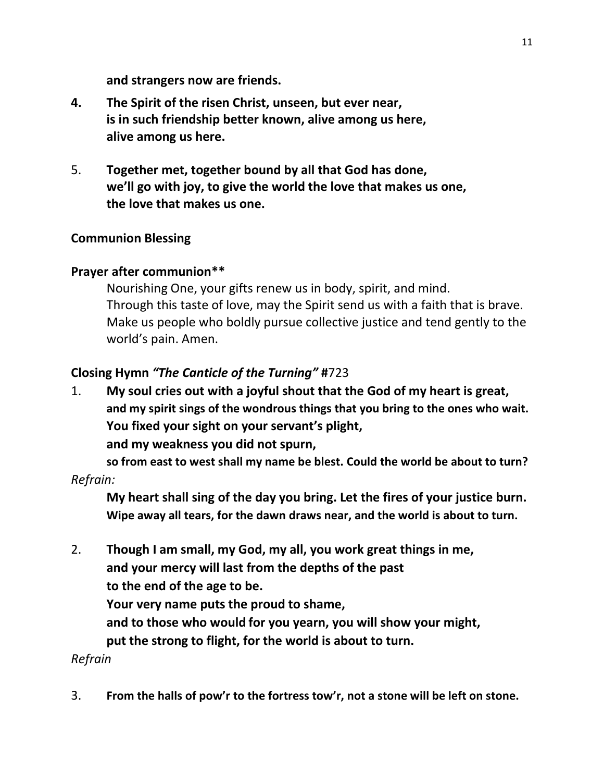**and strangers now are friends.**

- **4. The Spirit of the risen Christ, unseen, but ever near, is in such friendship better known, alive among us here, alive among us here.**
- 5. **Together met, together bound by all that God has done, we'll go with joy, to give the world the love that makes us one, the love that makes us one.**

## **Communion Blessing**

## **Prayer after communion\*\***

Nourishing One, your gifts renew us in body, spirit, and mind. Through this taste of love, may the Spirit send us with a faith that is brave. Make us people who boldly pursue collective justice and tend gently to the world's pain. Amen.

## **Closing Hymn** *"The Canticle of the Turning"* **#**723

1. **My soul cries out with a joyful shout that the God of my heart is great, and my spirit sings of the wondrous things that you bring to the ones who wait. You fixed your sight on your servant's plight, and my weakness you did not spurn,**

**so from east to west shall my name be blest. Could the world be about to turn?** *Refrain:*

**My heart shall sing of the day you bring. Let the fires of your justice burn. Wipe away all tears, for the dawn draws near, and the world is about to turn.**

2. **Though I am small, my God, my all, you work great things in me, and your mercy will last from the depths of the past to the end of the age to be. Your very name puts the proud to shame, and to those who would for you yearn, you will show your might, put the strong to flight, for the world is about to turn.**

*Refrain*

3. **From the halls of pow'r to the fortress tow'r, not a stone will be left on stone.**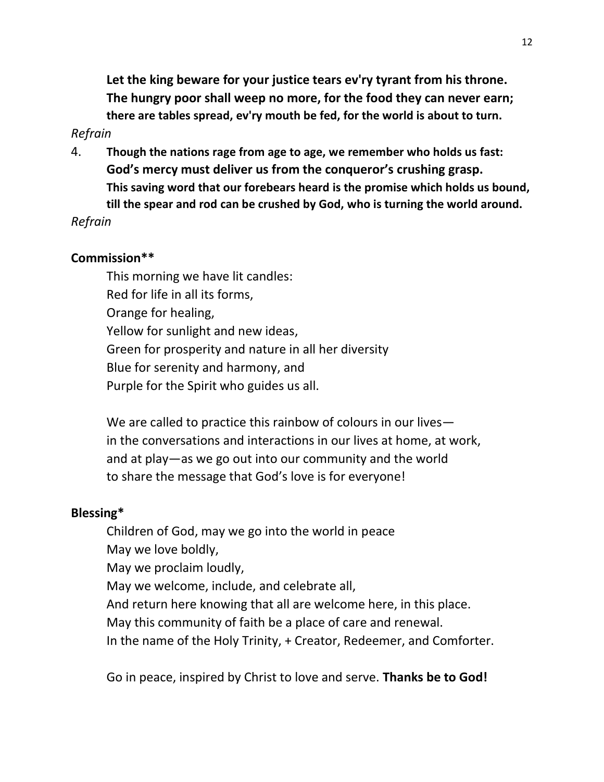**Let the king beware for your justice tears ev'ry tyrant from his throne. The hungry poor shall weep no more, for the food they can never earn; there are tables spread, ev'ry mouth be fed, for the world is about to turn.**

## *Refrain*

4. **Though the nations rage from age to age, we remember who holds us fast: God's mercy must deliver us from the conqueror's crushing grasp. This saving word that our forebears heard is the promise which holds us bound, till the spear and rod can be crushed by God, who is turning the world around.**

*Refrain*

## **Commission\*\***

This morning we have lit candles: Red for life in all its forms, Orange for healing, Yellow for sunlight and new ideas, Green for prosperity and nature in all her diversity Blue for serenity and harmony, and Purple for the Spirit who guides us all.

We are called to practice this rainbow of colours in our lives in the conversations and interactions in our lives at home, at work, and at play—as we go out into our community and the world to share the message that God's love is for everyone!

### **Blessing\***

Children of God, may we go into the world in peace

May we love boldly,

May we proclaim loudly,

May we welcome, include, and celebrate all,

And return here knowing that all are welcome here, in this place.

May this community of faith be a place of care and renewal.

In the name of the Holy Trinity, + Creator, Redeemer, and Comforter.

Go in peace, inspired by Christ to love and serve. **Thanks be to God!**